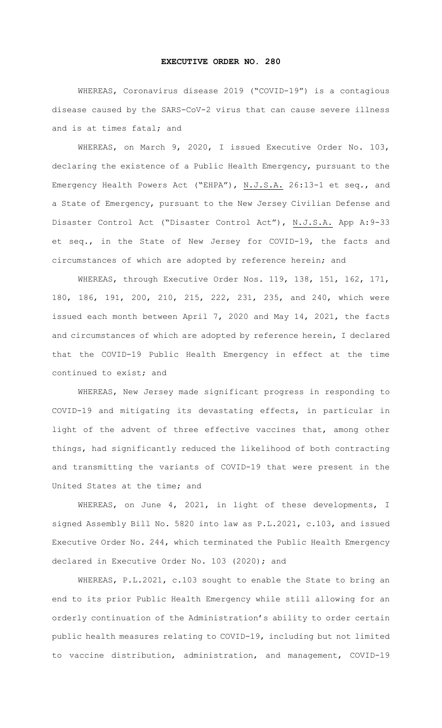## **EXECUTIVE ORDER NO. 280**

WHEREAS, Coronavirus disease 2019 ("COVID-19") is a contagious disease caused by the SARS-CoV-2 virus that can cause severe illness and is at times fatal; and

WHEREAS, on March 9, 2020, I issued Executive Order No. 103, declaring the existence of a Public Health Emergency, pursuant to the Emergency Health Powers Act ("EHPA"), N.J.S.A. 26:13-1 et seq., and a State of Emergency, pursuant to the New Jersey Civilian Defense and Disaster Control Act ("Disaster Control Act"), N.J.S.A. App A:9-33 et seq., in the State of New Jersey for COVID-19, the facts and circumstances of which are adopted by reference herein; and

WHEREAS, through Executive Order Nos. 119, 138, 151, 162, 171, 180, 186, 191, 200, 210, 215, 222, 231, 235, and 240, which were issued each month between April 7, 2020 and May 14, 2021, the facts and circumstances of which are adopted by reference herein, I declared that the COVID-19 Public Health Emergency in effect at the time continued to exist; and

WHEREAS, New Jersey made significant progress in responding to COVID-19 and mitigating its devastating effects, in particular in light of the advent of three effective vaccines that, among other things, had significantly reduced the likelihood of both contracting and transmitting the variants of COVID-19 that were present in the United States at the time; and

WHEREAS, on June 4, 2021, in light of these developments, I signed Assembly Bill No. 5820 into law as P.L.2021, c.103, and issued Executive Order No. 244, which terminated the Public Health Emergency declared in Executive Order No. 103 (2020); and

WHEREAS, P.L.2021, c.103 sought to enable the State to bring an end to its prior Public Health Emergency while still allowing for an orderly continuation of the Administration's ability to order certain public health measures relating to COVID-19, including but not limited to vaccine distribution, administration, and management, COVID-19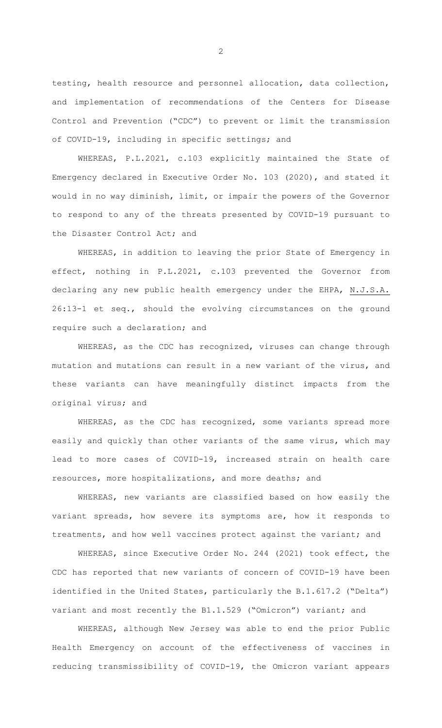testing, health resource and personnel allocation, data collection, and implementation of recommendations of the Centers for Disease Control and Prevention ("CDC") to prevent or limit the transmission of COVID-19, including in specific settings; and

WHEREAS, P.L.2021, c.103 explicitly maintained the State of Emergency declared in Executive Order No. 103 (2020), and stated it would in no way diminish, limit, or impair the powers of the Governor to respond to any of the threats presented by COVID-19 pursuant to the Disaster Control Act; and

WHEREAS, in addition to leaving the prior State of Emergency in effect, nothing in P.L.2021, c.103 prevented the Governor from declaring any new public health emergency under the EHPA, N.J.S.A. 26:13-1 et seq., should the evolving circumstances on the ground require such a declaration; and

WHEREAS, as the CDC has recognized, viruses can change through mutation and mutations can result in a new variant of the virus, and these variants can have meaningfully distinct impacts from the original virus; and

WHEREAS, as the CDC has recognized, some variants spread more easily and quickly than other variants of the same virus, which may lead to more cases of COVID-19, increased strain on health care resources, more hospitalizations, and more deaths; and

WHEREAS, new variants are classified based on how easily the variant spreads, how severe its symptoms are, how it responds to treatments, and how well vaccines protect against the variant; and

WHEREAS, since Executive Order No. 244 (2021) took effect, the CDC has reported that new variants of concern of COVID-19 have been identified in the United States, particularly the B.1.617.2 ("Delta") variant and most recently the B1.1.529 ("Omicron") variant; and

WHEREAS, although New Jersey was able to end the prior Public Health Emergency on account of the effectiveness of vaccines in reducing transmissibility of COVID-19, the Omicron variant appears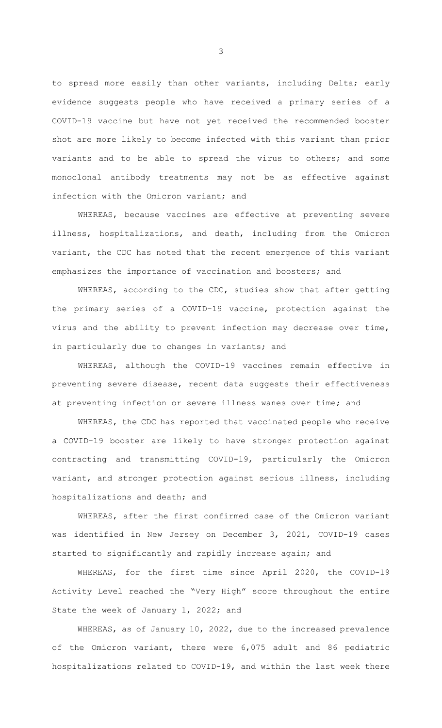to spread more easily than other variants, including Delta; early evidence suggests people who have received a primary series of a COVID-19 vaccine but have not yet received the recommended booster shot are more likely to become infected with this variant than prior variants and to be able to spread the virus to others; and some monoclonal antibody treatments may not be as effective against infection with the Omicron variant; and

WHEREAS, because vaccines are effective at preventing severe illness, hospitalizations, and death, including from the Omicron variant, the CDC has noted that the recent emergence of this variant emphasizes the importance of vaccination and boosters; and

WHEREAS, according to the CDC, studies show that after getting the primary series of a COVID-19 vaccine, protection against the virus and the ability to prevent infection may decrease over time, in particularly due to changes in variants; and

WHEREAS, although the COVID-19 vaccines remain effective in preventing severe disease, recent data suggests their effectiveness at preventing infection or severe illness wanes over time; and

WHEREAS, the CDC has reported that vaccinated people who receive a COVID-19 booster are likely to have stronger protection against contracting and transmitting COVID-19, particularly the Omicron variant, and stronger protection against serious illness, including hospitalizations and death; and

WHEREAS, after the first confirmed case of the Omicron variant was identified in New Jersey on December 3, 2021, COVID-19 cases started to significantly and rapidly increase again; and

WHEREAS, for the first time since April 2020, the COVID-19 Activity Level reached the "Very High" score throughout the entire State the week of January 1, 2022; and

WHEREAS, as of January 10, 2022, due to the increased prevalence of the Omicron variant, there were 6,075 adult and 86 pediatric hospitalizations related to COVID-19, and within the last week there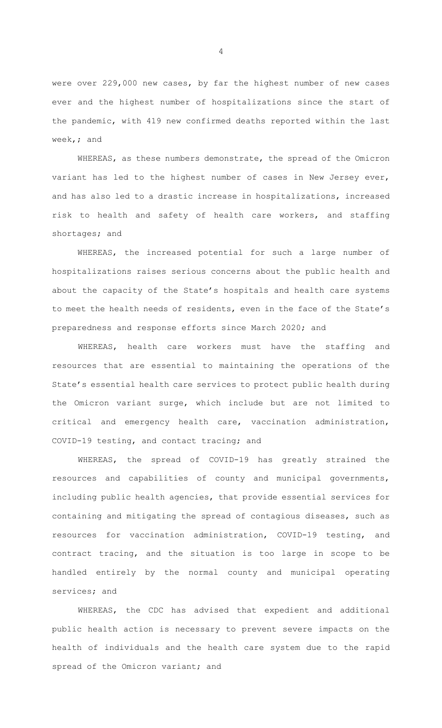were over 229,000 new cases, by far the highest number of new cases ever and the highest number of hospitalizations since the start of the pandemic, with 419 new confirmed deaths reported within the last week,; and

WHEREAS, as these numbers demonstrate, the spread of the Omicron variant has led to the highest number of cases in New Jersey ever, and has also led to a drastic increase in hospitalizations, increased risk to health and safety of health care workers, and staffing shortages; and

WHEREAS, the increased potential for such a large number of hospitalizations raises serious concerns about the public health and about the capacity of the State's hospitals and health care systems to meet the health needs of residents, even in the face of the State's preparedness and response efforts since March 2020; and

WHEREAS, health care workers must have the staffing and resources that are essential to maintaining the operations of the State's essential health care services to protect public health during the Omicron variant surge, which include but are not limited to critical and emergency health care, vaccination administration, COVID-19 testing, and contact tracing; and

WHEREAS, the spread of COVID-19 has greatly strained the resources and capabilities of county and municipal governments, including public health agencies, that provide essential services for containing and mitigating the spread of contagious diseases, such as resources for vaccination administration, COVID-19 testing, and contract tracing, and the situation is too large in scope to be handled entirely by the normal county and municipal operating services; and

WHEREAS, the CDC has advised that expedient and additional public health action is necessary to prevent severe impacts on the health of individuals and the health care system due to the rapid spread of the Omicron variant; and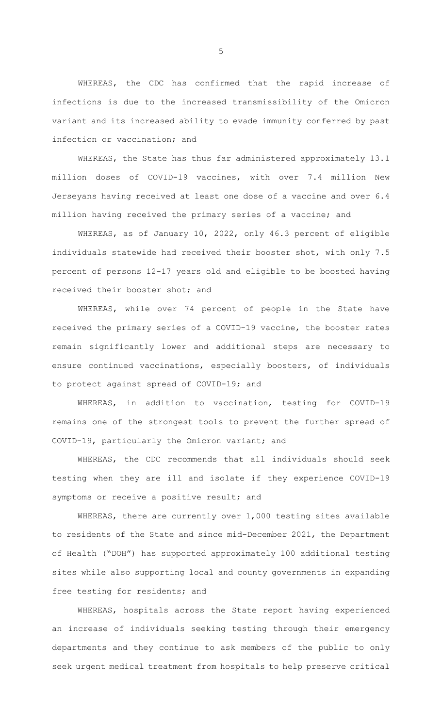WHEREAS, the CDC has confirmed that the rapid increase of infections is due to the increased transmissibility of the Omicron variant and its increased ability to evade immunity conferred by past infection or vaccination; and

WHEREAS, the State has thus far administered approximately 13.1 million doses of COVID-19 vaccines, with over 7.4 million New Jerseyans having received at least one dose of a vaccine and over 6.4 million having received the primary series of a vaccine; and

WHEREAS, as of January 10, 2022, only 46.3 percent of eligible individuals statewide had received their booster shot, with only 7.5 percent of persons 12-17 years old and eligible to be boosted having received their booster shot; and

WHEREAS, while over 74 percent of people in the State have received the primary series of a COVID-19 vaccine, the booster rates remain significantly lower and additional steps are necessary to ensure continued vaccinations, especially boosters, of individuals to protect against spread of COVID-19; and

WHEREAS, in addition to vaccination, testing for COVID-19 remains one of the strongest tools to prevent the further spread of COVID-19, particularly the Omicron variant; and

WHEREAS, the CDC recommends that all individuals should seek testing when they are ill and isolate if they experience COVID-19 symptoms or receive a positive result; and

WHEREAS, there are currently over 1,000 testing sites available to residents of the State and since mid-December 2021, the Department of Health ("DOH") has supported approximately 100 additional testing sites while also supporting local and county governments in expanding free testing for residents; and

WHEREAS, hospitals across the State report having experienced an increase of individuals seeking testing through their emergency departments and they continue to ask members of the public to only seek urgent medical treatment from hospitals to help preserve critical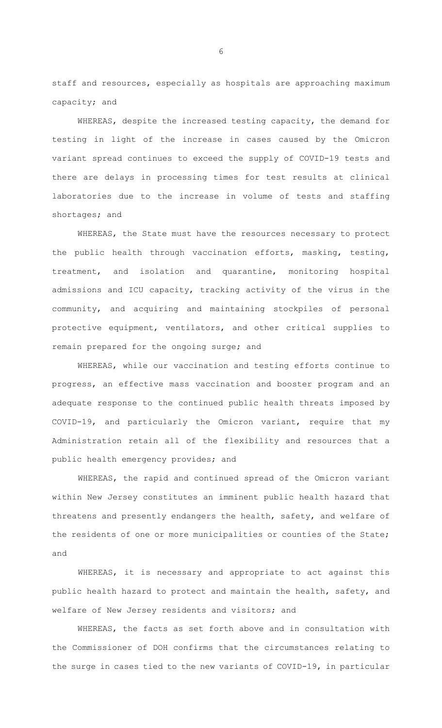staff and resources, especially as hospitals are approaching maximum capacity; and

WHEREAS, despite the increased testing capacity, the demand for testing in light of the increase in cases caused by the Omicron variant spread continues to exceed the supply of COVID-19 tests and there are delays in processing times for test results at clinical laboratories due to the increase in volume of tests and staffing shortages; and

WHEREAS, the State must have the resources necessary to protect the public health through vaccination efforts, masking, testing, treatment, and isolation and quarantine, monitoring hospital admissions and ICU capacity, tracking activity of the virus in the community, and acquiring and maintaining stockpiles of personal protective equipment, ventilators, and other critical supplies to remain prepared for the ongoing surge; and

WHEREAS, while our vaccination and testing efforts continue to progress, an effective mass vaccination and booster program and an adequate response to the continued public health threats imposed by COVID-19, and particularly the Omicron variant, require that my Administration retain all of the flexibility and resources that a public health emergency provides; and

WHEREAS, the rapid and continued spread of the Omicron variant within New Jersey constitutes an imminent public health hazard that threatens and presently endangers the health, safety, and welfare of the residents of one or more municipalities or counties of the State; and

WHEREAS, it is necessary and appropriate to act against this public health hazard to protect and maintain the health, safety, and welfare of New Jersey residents and visitors; and

WHEREAS, the facts as set forth above and in consultation with the Commissioner of DOH confirms that the circumstances relating to the surge in cases tied to the new variants of COVID-19, in particular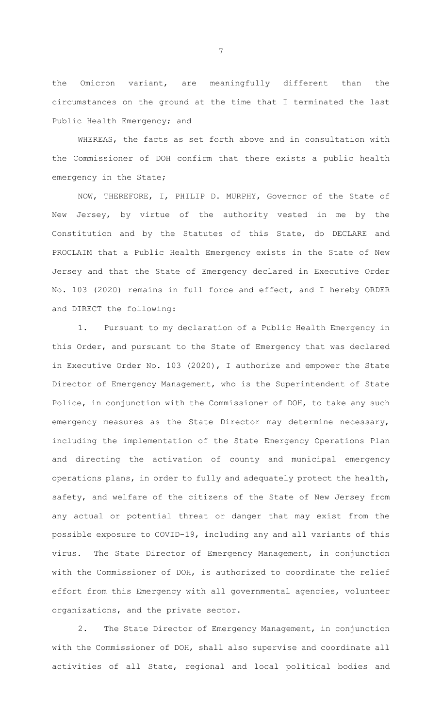the Omicron variant, are meaningfully different than the circumstances on the ground at the time that I terminated the last Public Health Emergency; and

WHEREAS, the facts as set forth above and in consultation with the Commissioner of DOH confirm that there exists a public health emergency in the State;

NOW, THEREFORE, I, PHILIP D. MURPHY, Governor of the State of New Jersey, by virtue of the authority vested in me by the Constitution and by the Statutes of this State, do DECLARE and PROCLAIM that a Public Health Emergency exists in the State of New Jersey and that the State of Emergency declared in Executive Order No. 103 (2020) remains in full force and effect, and I hereby ORDER and DIRECT the following:

1. Pursuant to my declaration of a Public Health Emergency in this Order, and pursuant to the State of Emergency that was declared in Executive Order No. 103 (2020), I authorize and empower the State Director of Emergency Management, who is the Superintendent of State Police, in conjunction with the Commissioner of DOH, to take any such emergency measures as the State Director may determine necessary, including the implementation of the State Emergency Operations Plan and directing the activation of county and municipal emergency operations plans, in order to fully and adequately protect the health, safety, and welfare of the citizens of the State of New Jersey from any actual or potential threat or danger that may exist from the possible exposure to COVID-19, including any and all variants of this virus. The State Director of Emergency Management, in conjunction with the Commissioner of DOH, is authorized to coordinate the relief effort from this Emergency with all governmental agencies, volunteer organizations, and the private sector.

2. The State Director of Emergency Management, in conjunction with the Commissioner of DOH, shall also supervise and coordinate all activities of all State, regional and local political bodies and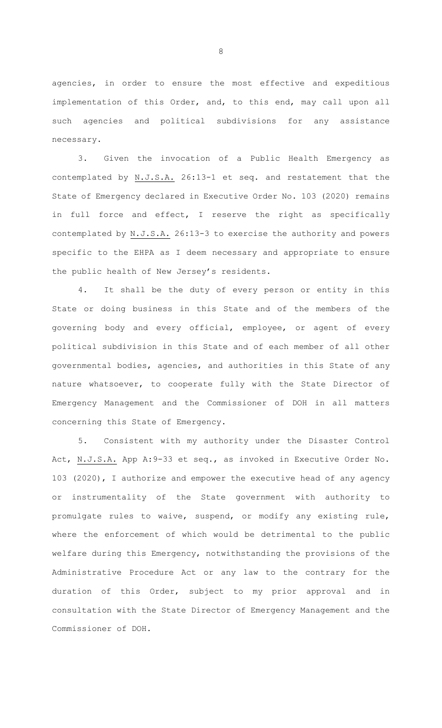agencies, in order to ensure the most effective and expeditious implementation of this Order, and, to this end, may call upon all such agencies and political subdivisions for any assistance necessary.

3. Given the invocation of a Public Health Emergency as contemplated by N.J.S.A. 26:13-1 et seq. and restatement that the State of Emergency declared in Executive Order No. 103 (2020) remains in full force and effect, I reserve the right as specifically contemplated by N.J.S.A. 26:13-3 to exercise the authority and powers specific to the EHPA as I deem necessary and appropriate to ensure the public health of New Jersey's residents.

4. It shall be the duty of every person or entity in this State or doing business in this State and of the members of the governing body and every official, employee, or agent of every political subdivision in this State and of each member of all other governmental bodies, agencies, and authorities in this State of any nature whatsoever, to cooperate fully with the State Director of Emergency Management and the Commissioner of DOH in all matters concerning this State of Emergency.

5. Consistent with my authority under the Disaster Control Act, N.J.S.A. App A:9-33 et seq., as invoked in Executive Order No. 103 (2020), I authorize and empower the executive head of any agency or instrumentality of the State government with authority to promulgate rules to waive, suspend, or modify any existing rule, where the enforcement of which would be detrimental to the public welfare during this Emergency, notwithstanding the provisions of the Administrative Procedure Act or any law to the contrary for the duration of this Order, subject to my prior approval and in consultation with the State Director of Emergency Management and the Commissioner of DOH.